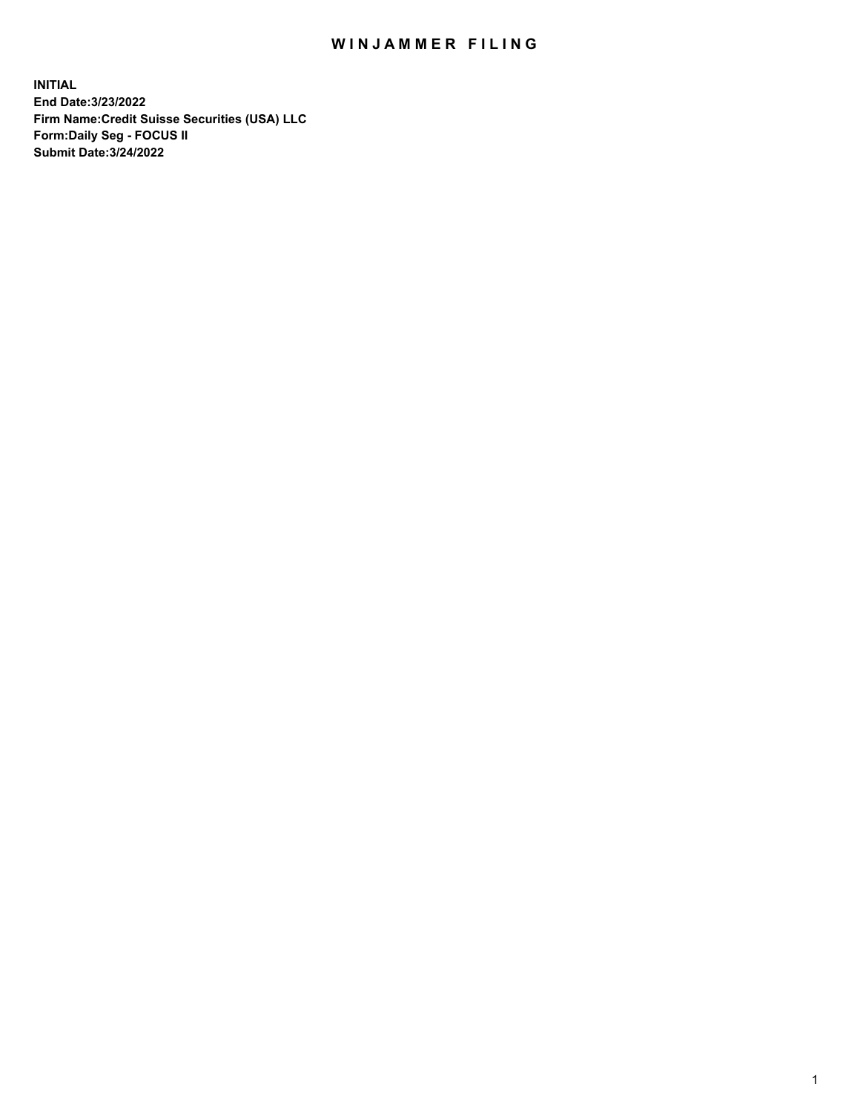## WIN JAMMER FILING

**INITIAL End Date:3/23/2022 Firm Name:Credit Suisse Securities (USA) LLC Form:Daily Seg - FOCUS II Submit Date:3/24/2022**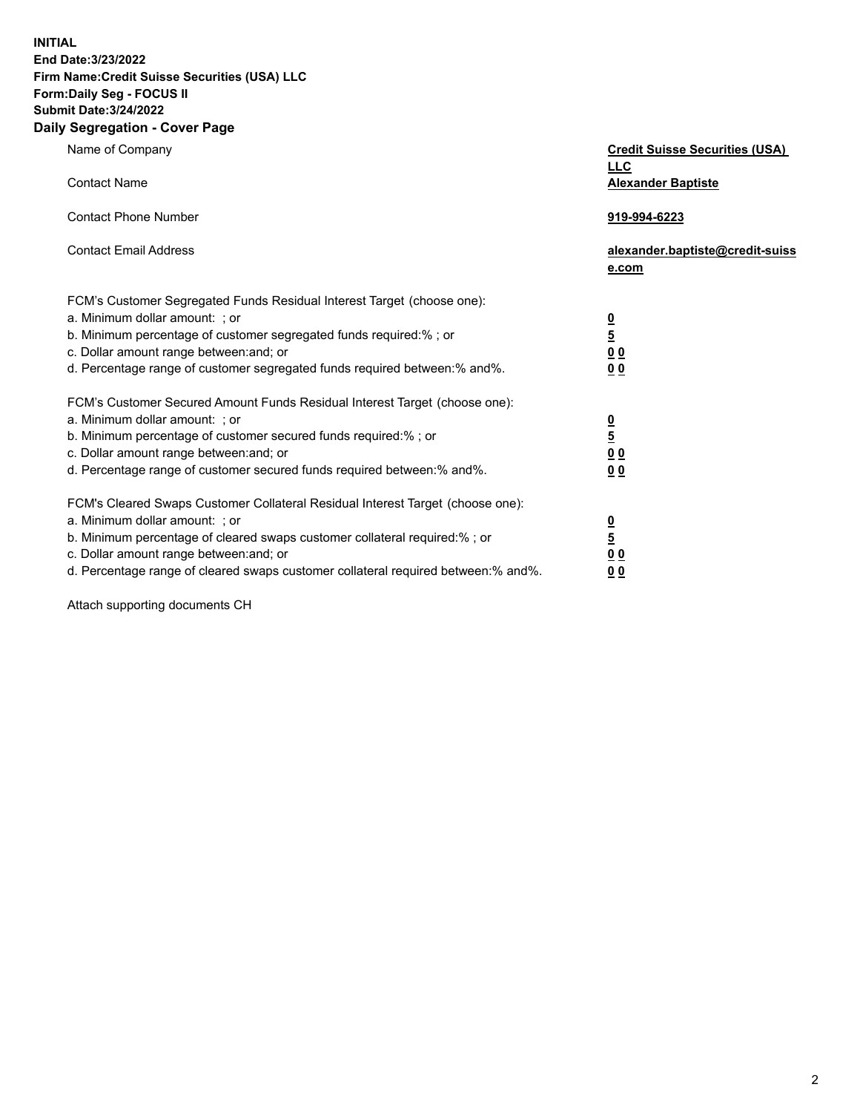**INITIAL End Date:3/23/2022** 

## **Firm Name:Credit Suisse Securities (USA) LLC Form:Daily Seg - FOCUS II Submit Date:3/24/2022**

## **Daily Segregation - Cover Page**

| Name of Company<br><b>Contact Name</b>                                                                                                                                                                                                                                                                                         | <b>Credit Suisse Securities (USA)</b><br><b>LLC</b><br><b>Alexander Baptiste</b> |
|--------------------------------------------------------------------------------------------------------------------------------------------------------------------------------------------------------------------------------------------------------------------------------------------------------------------------------|----------------------------------------------------------------------------------|
| <b>Contact Phone Number</b>                                                                                                                                                                                                                                                                                                    | 919-994-6223                                                                     |
| <b>Contact Email Address</b>                                                                                                                                                                                                                                                                                                   | alexander.baptiste@credit-suiss<br>e.com                                         |
| FCM's Customer Segregated Funds Residual Interest Target (choose one):<br>a. Minimum dollar amount: ; or<br>b. Minimum percentage of customer segregated funds required:%; or<br>c. Dollar amount range between: and; or<br>d. Percentage range of customer segregated funds required between:% and%.                          | $\frac{\frac{0}{5}}{\frac{0}{0}}$<br>0 <sub>0</sub>                              |
| FCM's Customer Secured Amount Funds Residual Interest Target (choose one):<br>a. Minimum dollar amount: ; or<br>b. Minimum percentage of customer secured funds required:%; or<br>c. Dollar amount range between: and; or<br>d. Percentage range of customer secured funds required between:% and%.                            | $\frac{0}{5}$<br>$\underline{0}$ $\underline{0}$<br>0 <sub>0</sub>               |
| FCM's Cleared Swaps Customer Collateral Residual Interest Target (choose one):<br>a. Minimum dollar amount: ; or<br>b. Minimum percentage of cleared swaps customer collateral required:% ; or<br>c. Dollar amount range between: and; or<br>d. Percentage range of cleared swaps customer collateral required between:% and%. | $\frac{0}{5}$<br>0 <sub>0</sub><br>0 <sub>0</sub>                                |

Attach supporting documents CH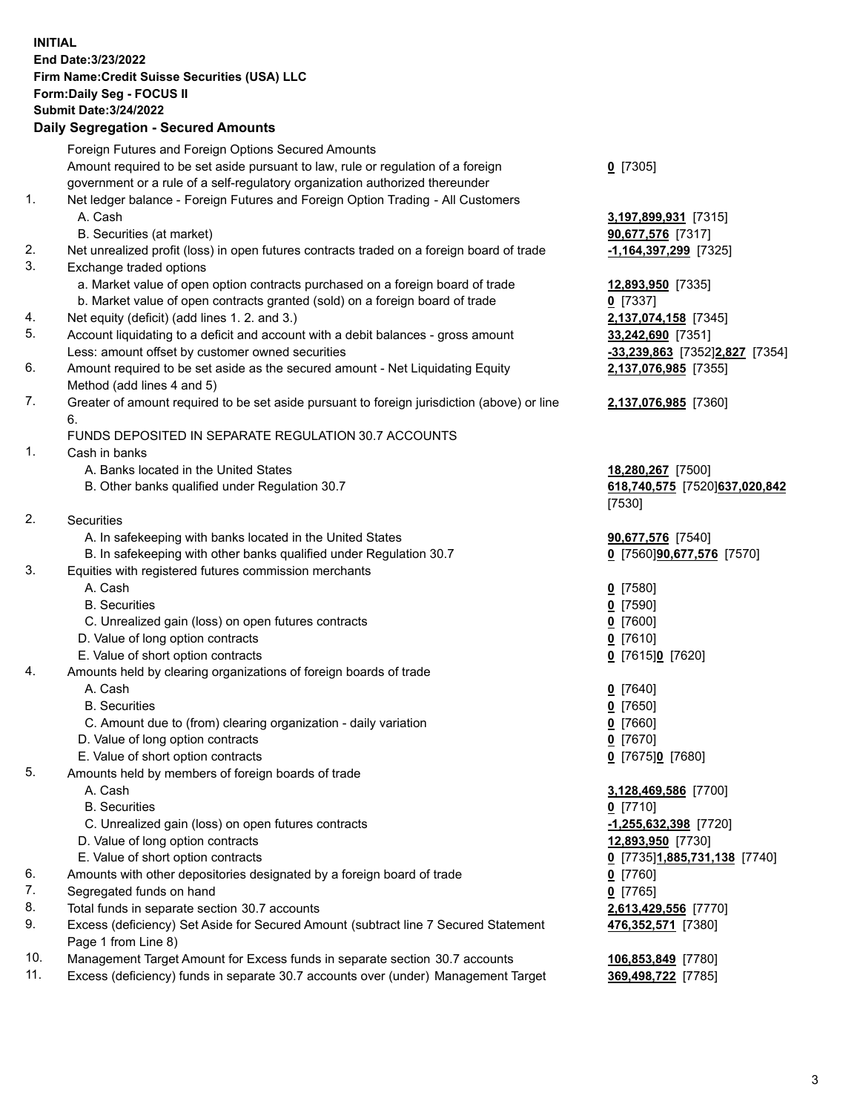**INITIAL End Date:3/23/2022 Firm Name:Credit Suisse Securities (USA) LLC Form:Daily Seg - FOCUS II Submit Date:3/24/2022** 

## **Daily Segregation - Secured Amounts**

|     | Foreign Futures and Foreign Options Secured Amounts                                                        |                                |
|-----|------------------------------------------------------------------------------------------------------------|--------------------------------|
|     | Amount required to be set aside pursuant to law, rule or regulation of a foreign                           | $Q$ [7305]                     |
|     | government or a rule of a self-regulatory organization authorized thereunder                               |                                |
| 1.  | Net ledger balance - Foreign Futures and Foreign Option Trading - All Customers                            |                                |
|     | A. Cash                                                                                                    | 3,197,899,931 [7315]           |
|     | B. Securities (at market)                                                                                  | 90,677,576 [7317]              |
| 2.  | Net unrealized profit (loss) in open futures contracts traded on a foreign board of trade                  | $-1,164,397,299$ [7325]        |
| 3.  | Exchange traded options                                                                                    |                                |
|     | a. Market value of open option contracts purchased on a foreign board of trade                             | 12,893,950 [7335]              |
|     | b. Market value of open contracts granted (sold) on a foreign board of trade                               | $0$ [7337]                     |
| 4.  | Net equity (deficit) (add lines 1. 2. and 3.)                                                              | 2,137,074,158 [7345]           |
| 5.  | Account liquidating to a deficit and account with a debit balances - gross amount                          | 33,242,690 [7351]              |
|     | Less: amount offset by customer owned securities                                                           | -33,239,863 [7352]2,827 [7354] |
| 6.  | Amount required to be set aside as the secured amount - Net Liquidating Equity                             | 2,137,076,985 [7355]           |
|     | Method (add lines 4 and 5)                                                                                 |                                |
| 7.  | Greater of amount required to be set aside pursuant to foreign jurisdiction (above) or line                | 2,137,076,985 [7360]           |
|     | 6.                                                                                                         |                                |
|     | FUNDS DEPOSITED IN SEPARATE REGULATION 30.7 ACCOUNTS                                                       |                                |
| 1.  | Cash in banks                                                                                              |                                |
|     | A. Banks located in the United States                                                                      | 18,280,267 [7500]              |
|     | B. Other banks qualified under Regulation 30.7                                                             | 618,740,575 [7520] 637,020,842 |
|     |                                                                                                            | [7530]                         |
| 2.  | Securities                                                                                                 |                                |
|     | A. In safekeeping with banks located in the United States                                                  | 90,677,576 [7540]              |
|     | B. In safekeeping with other banks qualified under Regulation 30.7                                         | 0 [7560]90,677,576 [7570]      |
| 3.  | Equities with registered futures commission merchants                                                      |                                |
|     | A. Cash                                                                                                    | $0$ [7580]                     |
|     | <b>B.</b> Securities                                                                                       | $0$ [7590]                     |
|     | C. Unrealized gain (loss) on open futures contracts                                                        | $0$ [7600]                     |
|     | D. Value of long option contracts                                                                          | $0$ [7610]                     |
|     | E. Value of short option contracts                                                                         | 0 [7615]0 [7620]               |
| 4.  | Amounts held by clearing organizations of foreign boards of trade                                          |                                |
|     | A. Cash                                                                                                    | $0$ [7640]                     |
|     | <b>B.</b> Securities                                                                                       | $0$ [7650]                     |
|     | C. Amount due to (from) clearing organization - daily variation                                            | $0$ [7660]                     |
|     | D. Value of long option contracts                                                                          | $0$ [7670]                     |
|     | E. Value of short option contracts                                                                         | 0 [7675]0 [7680]               |
| 5.  | Amounts held by members of foreign boards of trade                                                         |                                |
|     | A. Cash                                                                                                    | 3,128,469,586 [7700]           |
|     | <b>B.</b> Securities                                                                                       | $0$ [7710]                     |
|     | C. Unrealized gain (loss) on open futures contracts                                                        | $-1,255,632,398$ [7720]        |
|     | D. Value of long option contracts                                                                          | 12,893,950 [7730]              |
|     | E. Value of short option contracts                                                                         | 0 [7735]1,885,731,138 [7740]   |
| 6.  | Amounts with other depositories designated by a foreign board of trade                                     | $0$ [7760]                     |
| 7.  | Segregated funds on hand                                                                                   | $0$ [7765]                     |
| 8.  | Total funds in separate section 30.7 accounts                                                              | 2,613,429,556 [7770]           |
| 9.  | Excess (deficiency) Set Aside for Secured Amount (subtract line 7 Secured Statement<br>Page 1 from Line 8) | 476,352,571 [7380]             |
| 10. | Management Target Amount for Excess funds in separate section 30.7 accounts                                | 106,853,849 [7780]             |
|     |                                                                                                            |                                |

11. Excess (deficiency) funds in separate 30.7 accounts over (under) Management Target **369,498,722** [7785]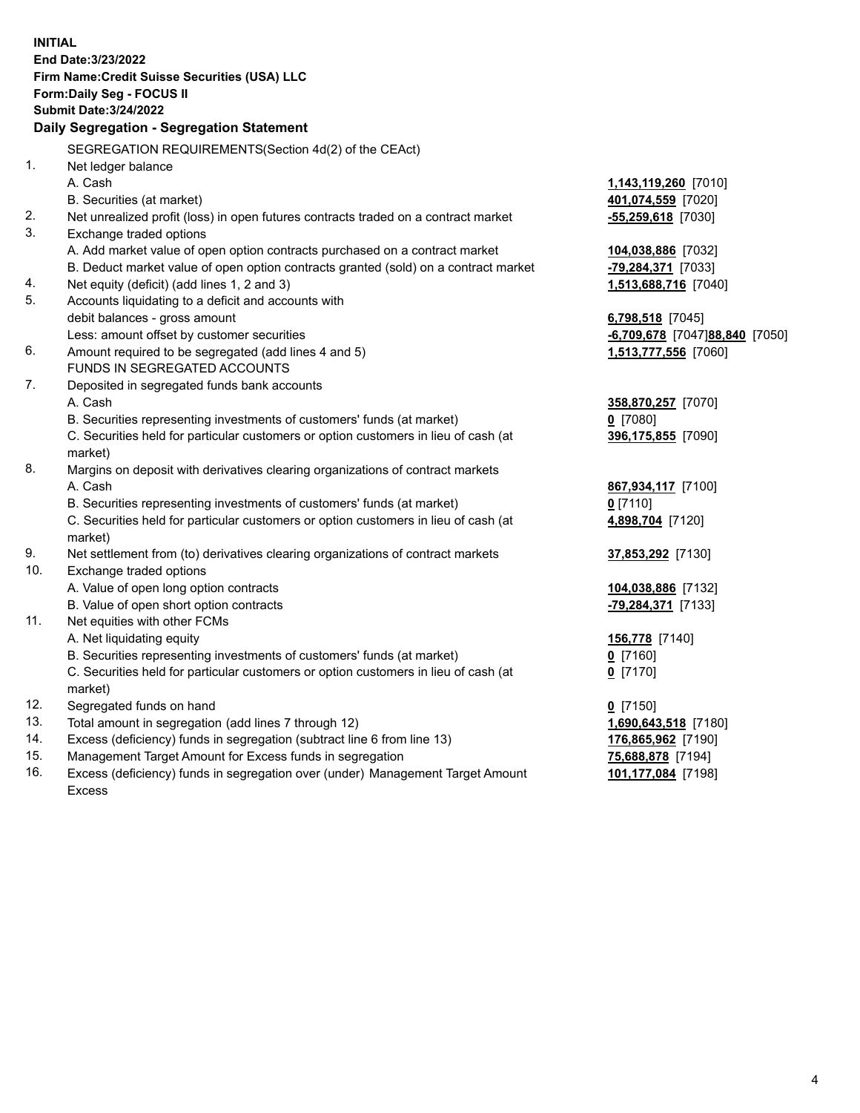15. Management Target Amount for Excess funds in segregation **75,688,878** [7194] **INITIAL End Date:3/23/2022 Firm Name:Credit Suisse Securities (USA) LLC Form:Daily Seg - FOCUS II Submit Date:3/24/2022 Daily Segregation - Segregation Statement**  SEGREGATION REQUIREMENTS(Section 4d(2) of the CEAct) 1. Net ledger balance A. Cash **1,143,119,260** [7010] B. Securities (at market) **401,074,559** [7020] 2. Net unrealized profit (loss) in open futures contracts traded on a contract market **-55,259,618** [7030] 3. Exchange traded options A. Add market value of open option contracts purchased on a contract market **104,038,886** [7032] B. Deduct market value of open option contracts granted (sold) on a contract market **-79,284,371** [7033] 4. Net equity (deficit) (add lines 1, 2 and 3) **1,513,688,716** [7040] 5. Accounts liquidating to a deficit and accounts with debit balances - gross amount **6,798,518** [7045] Less: amount offset by customer securities **-6,709,678** [7047] **88,840** [7050] 6. Amount required to be segregated (add lines 4 and 5) **1,513,777,556** [7060] FUNDS IN SEGREGATED ACCOUNTS 7. Deposited in segregated funds bank accounts A. Cash **358,870,257** [7070] B. Securities representing investments of customers' funds (at market) **0** [7080] C. Securities held for particular customers or option customers in lieu of cash (at **396,175,855** [7090] market) 8. Margins on deposit with derivatives clearing organizations of contract markets A. Cash **867,934,117** [7100] B. Securities representing investments of customers' funds (at market) **0** [7110] C. Securities held for particular customers or option customers in lieu of cash (at **4,898,704** [7120] market) 9. Net settlement from (to) derivatives clearing organizations of contract markets **37,853,292** [7130] 10. Exchange traded options A. Value of open long option contracts **104,038,886** [7132] B. Value of open short option contracts **-79,284,371** [7133] 11. Net equities with other FCMs A. Net liquidating equity **156,778** [7140] B. Securities representing investments of customers' funds (at market) **0** [7160] C. Securities held for particular customers or option customers in lieu of cash (at **0** [7170] market) 12. Segregated funds on hand **0** [7150] 13. Total amount in segregation (add lines 7 through 12) **1,690,643,518** [7180] 14. Excess (deficiency) funds in segregation (subtract line 6 from line 13) **176,865,962** [7190]

 16. Excess (deficiency) funds in segregation over (under) Management Target Amount **101,177,084** [7198] Excess